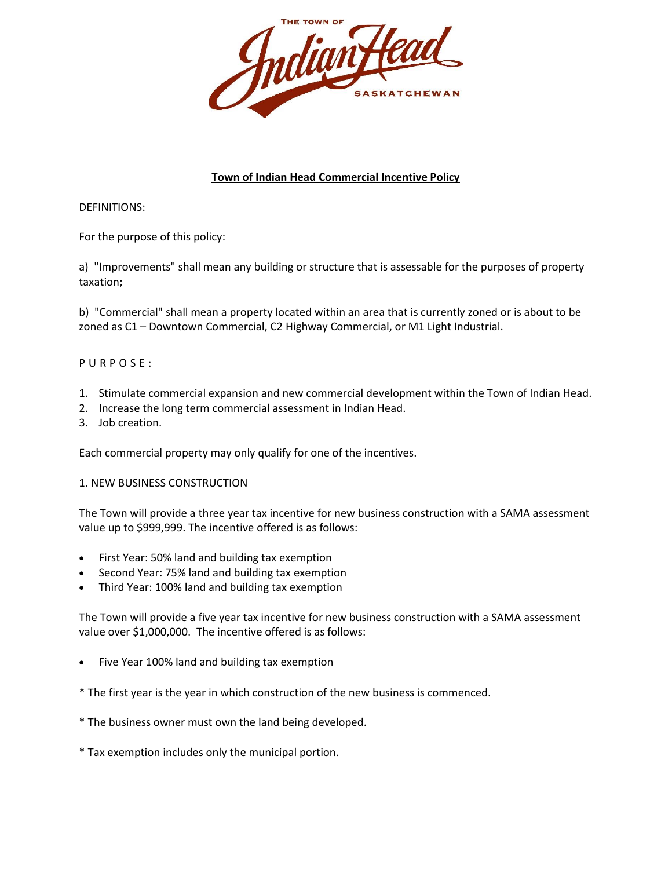

# **Town of Indian Head Commercial Incentive Policy**

DEFINITIONS:

For the purpose of this policy:

a) "Improvements" shall mean any building or structure that is assessable for the purposes of property taxation;

b) "Commercial" shall mean a property located within an area that is currently zoned or is about to be zoned as C1 – Downtown Commercial, C2 Highway Commercial, or M1 Light Industrial.

# P U R P O S E :

- 1. Stimulate commercial expansion and new commercial development within the Town of Indian Head.
- 2. Increase the long term commercial assessment in Indian Head.
- 3. Job creation.

Each commercial property may only qualify for one of the incentives.

#### 1. NEW BUSINESS CONSTRUCTION

The Town will provide a three year tax incentive for new business construction with a SAMA assessment value up to \$999,999. The incentive offered is as follows:

- First Year: 50% land and building tax exemption
- Second Year: 75% land and building tax exemption
- Third Year: 100% land and building tax exemption

The Town will provide a five year tax incentive for new business construction with a SAMA assessment value over \$1,000,000. The incentive offered is as follows:

- Five Year 100% land and building tax exemption
- \* The first year is the year in which construction of the new business is commenced.
- \* The business owner must own the land being developed.
- \* Tax exemption includes only the municipal portion.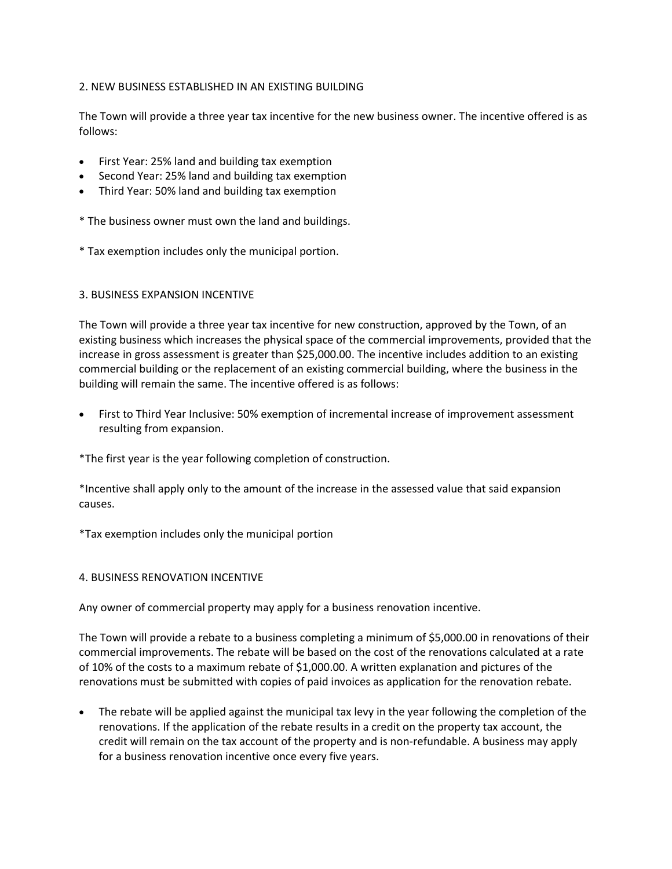### 2. NEW BUSINESS ESTABLISHED IN AN EXISTING BUILDING

The Town will provide a three year tax incentive for the new business owner. The incentive offered is as follows:

- First Year: 25% land and building tax exemption
- Second Year: 25% land and building tax exemption
- Third Year: 50% land and building tax exemption
- \* The business owner must own the land and buildings.
- \* Tax exemption includes only the municipal portion.

#### 3. BUSINESS EXPANSION INCENTIVE

The Town will provide a three year tax incentive for new construction, approved by the Town, of an existing business which increases the physical space of the commercial improvements, provided that the increase in gross assessment is greater than \$25,000.00. The incentive includes addition to an existing commercial building or the replacement of an existing commercial building, where the business in the building will remain the same. The incentive offered is as follows:

• First to Third Year Inclusive: 50% exemption of incremental increase of improvement assessment resulting from expansion.

\*The first year is the year following completion of construction.

\*Incentive shall apply only to the amount of the increase in the assessed value that said expansion causes.

\*Tax exemption includes only the municipal portion

#### 4. BUSINESS RENOVATION INCENTIVE

Any owner of commercial property may apply for a business renovation incentive.

The Town will provide a rebate to a business completing a minimum of \$5,000.00 in renovations of their commercial improvements. The rebate will be based on the cost of the renovations calculated at a rate of 10% of the costs to a maximum rebate of \$1,000.00. A written explanation and pictures of the renovations must be submitted with copies of paid invoices as application for the renovation rebate.

• The rebate will be applied against the municipal tax levy in the year following the completion of the renovations. If the application of the rebate results in a credit on the property tax account, the credit will remain on the tax account of the property and is non-refundable. A business may apply for a business renovation incentive once every five years.